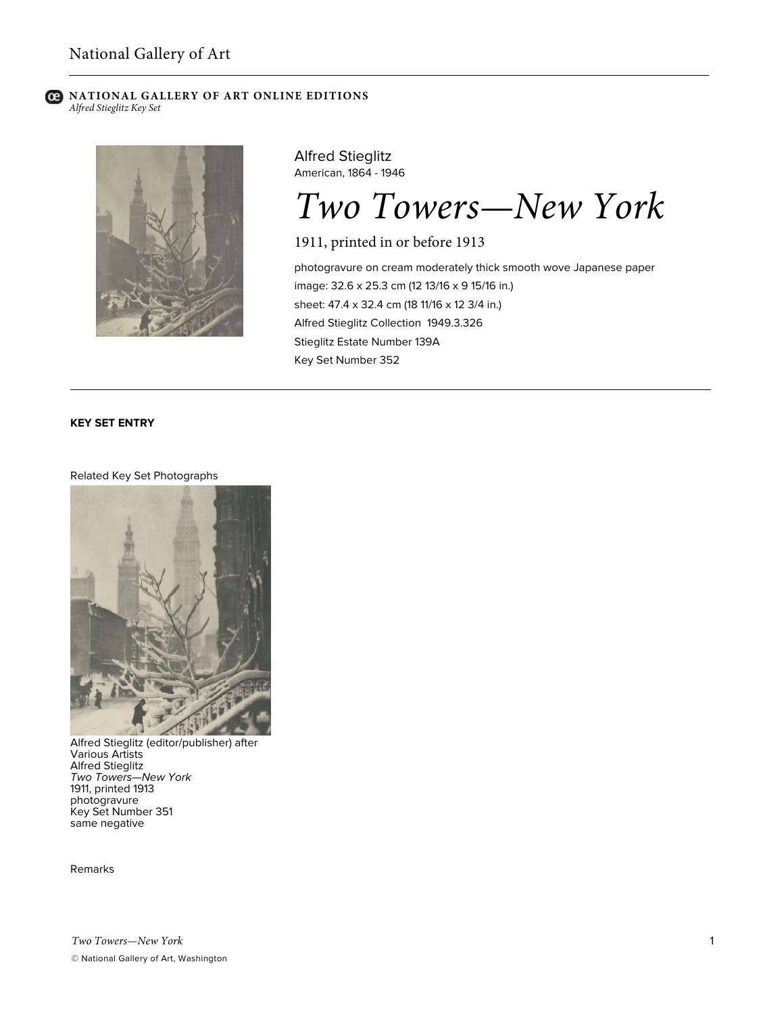### **C** NATIONAL GALLERY OF ART ONLINE EDITIONS *Alfred Stieglitz Key Set*



Alfred Stieglitz American, 1864 - 1946

*Two Towers—New York*

1911, printed in or before 1913

photogravure on cream moderately thick smooth wove Japanese paper image: 32.6 x 25.3 cm (12 13/16 x 9 15/16 in.) sheet: 47.4 x 32.4 cm (18 11/16 x 12 3/4 in.) Alfred Stieglitz Collection 1949.3.326 Stieglitz Estate Number 139A Key Set Number 352

# **KEY SET ENTRY**

## Related Key Set Photographs



Alfred Stieglitz (editor/publisher) after Various Artists Alfred Stieglitz *Two Towers—New York* 1911, printed 1913 photogravure Key Set Number 351 same negative

Remarks